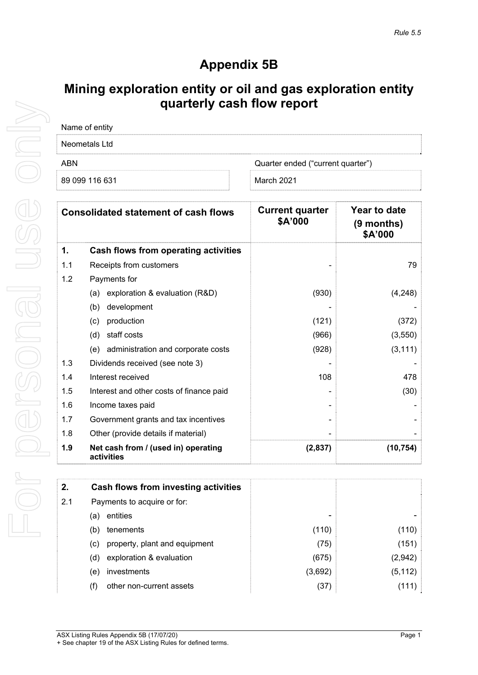# **Appendix 5B**

## **Mining exploration entity or oil and gas exploration entity quarterly cash flow report**

| Name of entity |                                   |
|----------------|-----------------------------------|
| Neometals Ltd  |                                   |
| ABN            | Quarter ended ("current quarter") |
| 89 099 116 631 | March 2021                        |

| <b>Consolidated statement of cash flows</b> |                                                   | <b>Current quarter</b><br>\$A'000 | Year to date<br>$(9$ months)<br>\$A'000 |
|---------------------------------------------|---------------------------------------------------|-----------------------------------|-----------------------------------------|
| 1.                                          | Cash flows from operating activities              |                                   |                                         |
| 1.1                                         | Receipts from customers                           |                                   | 79                                      |
| 1.2                                         | Payments for                                      |                                   |                                         |
|                                             | exploration & evaluation (R&D)<br>(a)             | (930)                             | (4, 248)                                |
|                                             | development<br>(b)                                |                                   |                                         |
|                                             | production<br>(c)                                 | (121)                             | (372)                                   |
|                                             | (d)<br>staff costs                                | (966)                             | (3, 550)                                |
|                                             | (e) administration and corporate costs            | (928)                             | (3, 111)                                |
| 1.3                                         | Dividends received (see note 3)                   |                                   |                                         |
| 1.4                                         | Interest received                                 | 108                               | 478                                     |
| 1.5                                         | Interest and other costs of finance paid          |                                   | (30)                                    |
| 1.6                                         | Income taxes paid                                 |                                   |                                         |
| 1.7                                         | Government grants and tax incentives              |                                   |                                         |
| 1.8                                         | Other (provide details if material)               |                                   |                                         |
| 1.9                                         | Net cash from / (used in) operating<br>activities | (2,837)                           | (10, 754)                               |

| 2.  | Cash flows from investing activities |         |          |
|-----|--------------------------------------|---------|----------|
| 2.1 | Payments to acquire or for:          |         |          |
|     | entities<br>(a)                      |         |          |
|     | tenements<br>(b)                     | (110)   | (110)    |
|     | property, plant and equipment<br>(c) | (75)    | (151)    |
|     | exploration & evaluation<br>(d)      | (675)   | (2,942)  |
|     | <i>investments</i><br>(e)            | (3,692) | (5, 112) |
|     | other non-current assets<br>(f)      | (37)    | (111)    |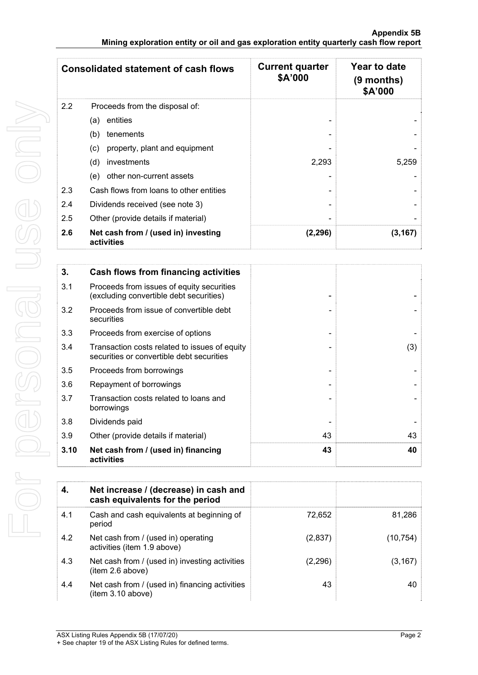| <b>Consolidated statement of cash flows</b> |                                                   | <b>Current quarter</b><br>\$A'000 | Year to date<br>(9 months)<br>\$A'000 |
|---------------------------------------------|---------------------------------------------------|-----------------------------------|---------------------------------------|
| 2.2                                         | Proceeds from the disposal of:                    |                                   |                                       |
|                                             | entities<br>(a)                                   |                                   |                                       |
|                                             | (b)<br>tenements                                  |                                   |                                       |
|                                             | property, plant and equipment<br>(c)              |                                   |                                       |
|                                             | (d)<br>investments                                | 2,293                             | 5,259                                 |
|                                             | other non-current assets<br>(e)                   |                                   |                                       |
| 2.3                                         | Cash flows from loans to other entities           |                                   |                                       |
| 2.4                                         | Dividends received (see note 3)                   |                                   |                                       |
| 2.5                                         | Other (provide details if material)               |                                   |                                       |
| 2.6                                         | Net cash from / (used in) investing<br>activities | (2, 296)                          | (3, 167)                              |

| 3.   | Cash flows from financing activities                                                       |    |     |
|------|--------------------------------------------------------------------------------------------|----|-----|
| 3.1  | Proceeds from issues of equity securities<br>(excluding convertible debt securities)       |    |     |
| 3.2  | Proceeds from issue of convertible debt<br>securities                                      |    |     |
| 3.3  | Proceeds from exercise of options                                                          |    |     |
| 3.4  | Transaction costs related to issues of equity<br>securities or convertible debt securities |    | (3) |
| 3.5  | Proceeds from borrowings                                                                   |    |     |
| 3.6  | Repayment of borrowings                                                                    |    |     |
| 3.7  | Transaction costs related to loans and<br>borrowings                                       |    |     |
| 3.8  | Dividends paid                                                                             |    |     |
| 3.9  | Other (provide details if material)                                                        | 43 | 43  |
| 3.10 | Net cash from / (used in) financing<br>activities                                          | 43 | 40  |

|     | Net increase / (decrease) in cash and<br>cash equivalents for the period |          |          |
|-----|--------------------------------------------------------------------------|----------|----------|
| 4.1 | Cash and cash equivalents at beginning of<br>period                      | 72.652   | 81,286   |
| 4.2 | Net cash from / (used in) operating<br>activities (item 1.9 above)       | (2,837)  | (10,754) |
| 4.3 | Net cash from / (used in) investing activities<br>item 2.6 above)        | (2, 296) | (3,167)  |
| 4.4 | Net cash from / (used in) financing activities<br>(item 3.10 above)      | 43       | 40       |

<sup>+</sup> See chapter 19 of the ASX Listing Rules for defined terms.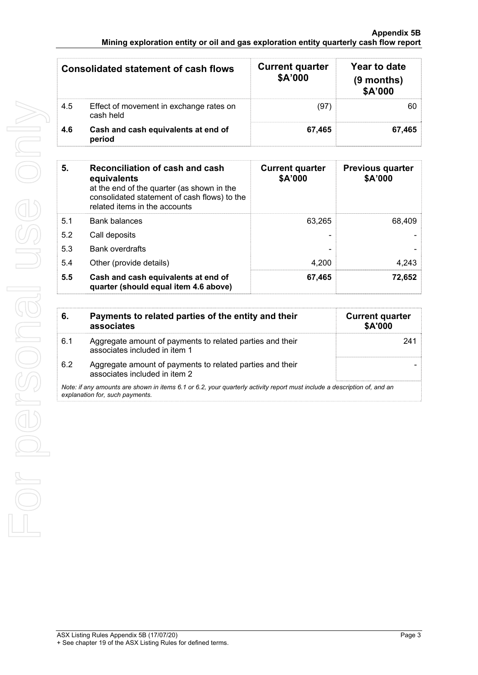### **Appendix 5B Mining exploration entity or oil and gas exploration entity quarterly cash flow report**

| <b>Consolidated statement of cash flows</b> |                                                      | <b>Current quarter</b><br>\$A'000 | Year to date<br>$(9$ months)<br>\$A'000 |
|---------------------------------------------|------------------------------------------------------|-----------------------------------|-----------------------------------------|
| 4.5                                         | Effect of movement in exchange rates on<br>cash held | (97)                              | 60                                      |
| 4.6                                         | Cash and cash equivalents at end of<br>period        | 67.465                            | 67.465                                  |

| 5.  | Reconciliation of cash and cash<br>equivalents<br>at the end of the quarter (as shown in the<br>consolidated statement of cash flows) to the<br>related items in the accounts | <b>Current quarter</b><br>\$A'000 | <b>Previous quarter</b><br>\$A'000 |
|-----|-------------------------------------------------------------------------------------------------------------------------------------------------------------------------------|-----------------------------------|------------------------------------|
| 5.1 | <b>Bank balances</b>                                                                                                                                                          | 63.265                            | 68,409                             |
| 5.2 | Call deposits                                                                                                                                                                 |                                   |                                    |
| 5.3 | Bank overdrafts                                                                                                                                                               |                                   |                                    |
| 5.4 | Other (provide details)                                                                                                                                                       | 4.200                             | 4,243                              |
| 5.5 | Cash and cash equivalents at end of<br>quarter (should equal item 4.6 above)                                                                                                  | 67,465                            | 72,652                             |

| 6.  | Payments to related parties of the entity and their<br>associates                                                                                           | <b>Current quarter</b><br>\$A'000 |
|-----|-------------------------------------------------------------------------------------------------------------------------------------------------------------|-----------------------------------|
| 6.1 | Aggregate amount of payments to related parties and their<br>associates included in item 1                                                                  | 241                               |
| 6.2 | Aggregate amount of payments to related parties and their<br>associates included in item 2                                                                  |                                   |
|     | Note: if any amounts are shown in items 6.1 or 6.2, your quarterly activity report must include a description of, and an<br>explanation for, such payments. |                                   |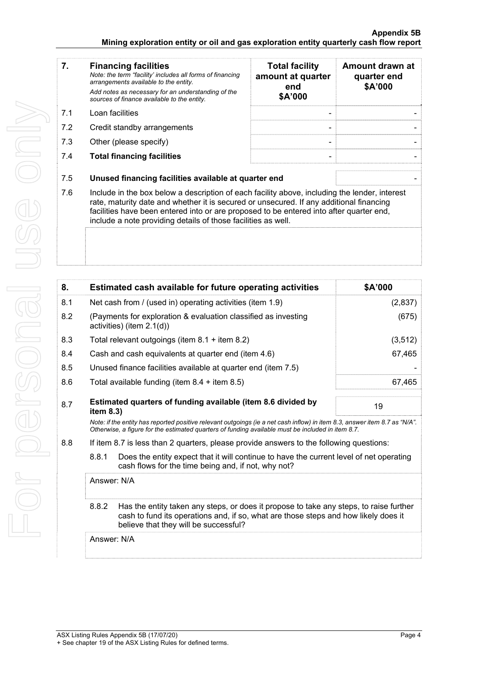#### **Appendix 5B Mining exploration entity or oil and gas exploration entity quarterly cash flow report**

| 7.  | <b>Financing facilities</b><br>Note: the term "facility' includes all forms of financing<br>arrangements available to the entity.                                                                                                                                                                                                                    | <b>Total facility</b><br>amount at quarter<br>end | Amount drawn at<br>quarter end<br>\$A'000 |
|-----|------------------------------------------------------------------------------------------------------------------------------------------------------------------------------------------------------------------------------------------------------------------------------------------------------------------------------------------------------|---------------------------------------------------|-------------------------------------------|
|     | Add notes as necessary for an understanding of the<br>sources of finance available to the entity.                                                                                                                                                                                                                                                    | \$A'000                                           |                                           |
| 7.1 | Loan facilities                                                                                                                                                                                                                                                                                                                                      |                                                   |                                           |
| 7.2 | Credit standby arrangements                                                                                                                                                                                                                                                                                                                          |                                                   |                                           |
| 7.3 | Other (please specify)                                                                                                                                                                                                                                                                                                                               |                                                   |                                           |
| 7.4 | <b>Total financing facilities</b>                                                                                                                                                                                                                                                                                                                    |                                                   |                                           |
| 7.5 | Unused financing facilities available at quarter end                                                                                                                                                                                                                                                                                                 |                                                   |                                           |
| 7.6 | Include in the box below a description of each facility above, including the lender, interest<br>rate, maturity date and whether it is secured or unsecured. If any additional financing<br>facilities have been entered into or are proposed to be entered into after quarter end,<br>include a note providing details of those facilities as well. |                                                   |                                           |
|     |                                                                                                                                                                                                                                                                                                                                                      |                                                   |                                           |

| 8.  |                                                                                                                                                                                                                                 | Estimated cash available for future operating activities                                                                                       | \$A'000  |
|-----|---------------------------------------------------------------------------------------------------------------------------------------------------------------------------------------------------------------------------------|------------------------------------------------------------------------------------------------------------------------------------------------|----------|
| 8.1 | Net cash from / (used in) operating activities (item 1.9)                                                                                                                                                                       |                                                                                                                                                | (2,837)  |
| 8.2 |                                                                                                                                                                                                                                 | (Payments for exploration & evaluation classified as investing<br>activities) (item $2.1(d)$ )                                                 | (675)    |
| 8.3 |                                                                                                                                                                                                                                 | Total relevant outgoings (item $8.1 +$ item $8.2$ )                                                                                            | (3, 512) |
| 8.4 |                                                                                                                                                                                                                                 | Cash and cash equivalents at quarter end (item 4.6)                                                                                            | 67,465   |
| 8.5 |                                                                                                                                                                                                                                 | Unused finance facilities available at quarter end (item 7.5)                                                                                  |          |
| 8.6 |                                                                                                                                                                                                                                 | Total available funding (item $8.4 +$ item $8.5$ )                                                                                             | 67,465   |
| 8.7 | Estimated quarters of funding available (item 8.6 divided by<br>item $8.3$ )                                                                                                                                                    |                                                                                                                                                | 19       |
|     | Note: if the entity has reported positive relevant outgoings (ie a net cash inflow) in item 8.3, answer item 8.7 as "N/A".<br>Otherwise, a figure for the estimated quarters of funding available must be included in item 8.7. |                                                                                                                                                |          |
| 8.8 |                                                                                                                                                                                                                                 | If item 8.7 is less than 2 quarters, please provide answers to the following questions:                                                        |          |
|     | 8.8.1                                                                                                                                                                                                                           | Does the entity expect that it will continue to have the current level of net operating<br>cash flows for the time being and, if not, why not? |          |
|     | Answer: N/A                                                                                                                                                                                                                     |                                                                                                                                                |          |
|     | Has the entity taken any steps, or does it propose to take any steps, to raise further<br>8.8.2<br>cash to fund its operations and, if so, what are those steps and how likely does it<br>believe that they will be successful? |                                                                                                                                                |          |
|     | Answer: N/A                                                                                                                                                                                                                     |                                                                                                                                                |          |